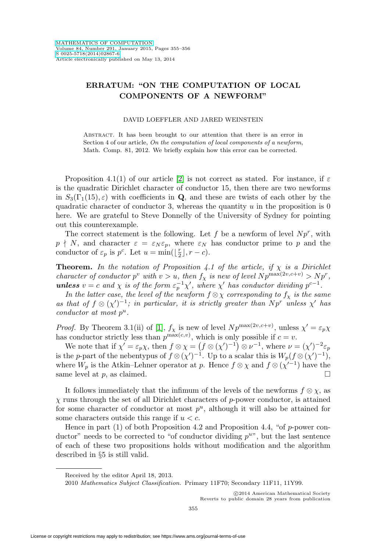## **ERRATUM: "ON THE COMPUTATION OF LOCAL COMPONENTS OF A NEWFORM"**

## DAVID LOEFFLER AND JARED WEINSTEIN

Abstract. It has been brought to our attention that there is an error in Section 4 of our article, On the computation of local components of a newform, Math. Comp. 81, 2012. We briefly explain how this error can be corrected.

Proposition 4.1(1) of our article [\[2\]](#page-1-0) is not correct as stated. For instance, if  $\varepsilon$ is the quadratic Dirichlet character of conductor 15, then there are two newforms in  $S_3(\Gamma_1(15), \varepsilon)$  with coefficients in **Q**, and these are twists of each other by the quadratic character of conductor 3, whereas the quantity  $u$  in the proposition is 0 here. We are grateful to Steve Donnelly of the University of Sydney for pointing out this counterexample.

The correct statement is the following. Let  $f$  be a newform of level  $Np^r$ , with  $p \nmid N$ , and character  $\varepsilon = \varepsilon_N \varepsilon_p$ , where  $\varepsilon_N$  has conductor prime to p and the conductor of  $\varepsilon_p$  is  $p^c$ . Let  $u = \min(\lfloor \frac{r}{2} \rfloor, r - c)$ .

**Theorem.** In the notation of Proposition 4.1 of the article, if  $\chi$  is a Dirichlet character of conductor  $p^v$  with  $v>u$ , then  $f_\chi$  is new of level  $N p^{\max(2v,c+v)} > N p^r$ , **unless**  $v = c$  and  $\chi$  is of the form  $\varepsilon_p^{-1}\chi'$ , where  $\chi'$  has conductor dividing  $p^{c-1}$ .

In the latter case, the level of the newform  $f \otimes \chi$  corresponding to  $f_{\chi}$  is the same as that of  $f \otimes (\chi')^{-1}$ ; in particular, it is strictly greater than  $Np^r$  unless  $\chi'$  has conductor at most  $p^u$ .

*Proof.* By Theorem 3.1(ii) of [\[1\]](#page-1-1),  $f_\chi$  is new of level  $Np^{\max(2v,c+v)}$ , unless  $\chi' = \varepsilon_p \chi$ has conductor strictly less than  $p^{\max(c,v)}$ , which is only possible if  $c = v$ .

We note that if  $\chi' = \varepsilon_p \chi$ , then  $f \otimes \chi = (f \otimes (\chi')^{-1}) \otimes \nu^{-1}$ , where  $\nu = (\chi')^{-2} \varepsilon_p$ is the *p*-part of the nebentypus of  $f \otimes (\chi')^{-1}$ . Up to a scalar this is  $W_p(f \otimes (\chi')^{-1})$ , where  $W_p$  is the Atkin–Lehner operator at p. Hence  $f \otimes \chi$  and  $f \otimes (\chi'^{-1})$  have the same level at p, as claimed.  $\square$ 

It follows immediately that the infimum of the levels of the newforms  $f \otimes \chi$ , as  $\chi$  runs through the set of all Dirichlet characters of p-power conductor, is attained for some character of conductor at most  $p^u$ , although it will also be attained for some characters outside this range if  $u < c$ .

Hence in part (1) of both Proposition 4.2 and Proposition 4.4, "of  $p$ -power conductor" needs to be corrected to "of conductor dividing  $p^u$ ", but the last sentence of each of these two propositions holds without modification and the algorithm described in §5 is still valid.

-c 2014 American Mathematical Society Reverts to public domain 28 years from publication

Received by the editor April 18, 2013.

<sup>2010</sup> Mathematics Subject Classification. Primary 11F70; Secondary 11F11, 11Y99.